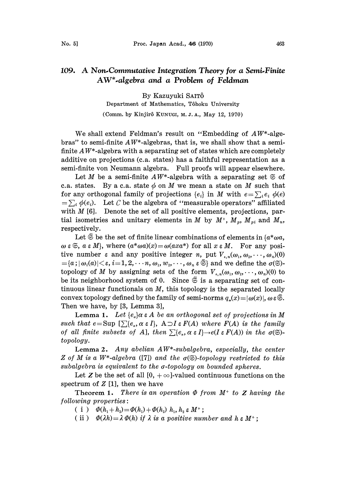## 109. A Non.Commutative Integration Theory for <sup>a</sup> Semi.Finite AW\*-algebra and a Problem of Feldman

By Kazuyuki SAIT6 Department of Mathematics, T6hoku University (Comm. by Kinjirô KUNUGI, M. J. A., May 12, 1970)

We shall extend Feldman's result on "Embedding of  $AW^*$ -algebras" to semi-finite  $AW^*$ -algebras, that is, we shall show that a semifinite  $AW^*$ -algebra with a separating set of states which are completely additive on projections (c.a. states) has a faithful representation as a semi-finite von Neumann algebra. Full proofs will appear elsewhere.

Let M be a semi-finite  $AW^*$ -algebra with a separating set  $\mathfrak{S}$  of c.a. states. By a c.a. state  $\phi$  on M we mean a state on M such that for any orthogonal family of projections  $\{e_i\}$  in M with  $e = \sum_i e_i \phi(e)$  $=\sum_i \phi(e_i)$ . Let C be the algebra of "measurable operators" affiliated with  $M$  [6]. Denote the set of all positive elements, projections, partial isometries and unitary elements in M by  $M^*$ ,  $M_p$ ,  $M_{pi}$  and  $M_u$ , respectively.

Let  $\tilde{\mathfrak{S}}$  be the set of finite linear combinations of elements in  $\{a^*\omega a,$  $\omega \in \mathfrak{S}, a \in M$ , where  $(a^*\omega a)(x) = \omega(axa^*)$  for all  $x \in M$ . For any positive number  $\varepsilon$  and any positive integer n, put  $V_{\varepsilon,n}(\omega_1, \omega_2, \dots, \omega_n)(0)$  ${a} = {a; |\omega_i(a)| < \varepsilon, i = 1, 2, \ldots, n, \omega_1, w_2, \ldots, \omega_n \varepsilon \widetilde{\mathfrak{S}}}$  and we define the  $\sigma(\mathfrak{S})$ topology of M by assigning sets of the form  $V_{\epsilon,n}(\omega_1,\omega_2,\cdots,\omega_n)(0)$  to be its neighborhood system of 0. Since  $\tilde{\mathfrak{S}}$  is a separating set of continuous linear functionals on  $M$ , this topology is the separated locally convex topology defined by the family of semi-norms  $q_n(x) = |\omega(x)|$ ,  $\omega \in \tilde{\mathfrak{S}}$ . Then we have, by [3, Lemma 3],

**Lemma 1.** Let  $\{e_a\}$  $\alpha \in A$  be an orthogonal set of projections in M such that  $e = \text{Sup } [\sum \{e_a, \alpha \in I\}, A \supset I \in F(A)$  where  $F(A)$  is the family of all finite subsets of A, then  $\sum \{e_a, \alpha \in I\} \rightarrow e(I \in F(A))$  in the  $\sigma(\mathfrak{S})$ topology.

Lemma 2. Any abelian  $AW^*$ -subalgebra, especially, the center Z of M is a W<sup>\*</sup>-algebra ([7]) and the  $\sigma$ (S)-topology restricted to this subalgebra is equivalent to the  $\sigma$ -topology on bounded spheres.

Let Z be the set of all  $[0, +\infty]$ -valued continuous functions on the spectrum of  $Z$  [1], then we have

Theorem 1. There is an operation  $\Phi$  from  $M^+$  to Z having the following properties:

(i)  $\Phi(h_1 + h_2) = \Phi(h_1) + \Phi(h_2) h_1, h_2 \in M^+;$ 

(ii)  $\Phi(\lambda h) = \lambda \Phi(h)$  if  $\lambda$  is a positive number and  $h \in M^+$ ;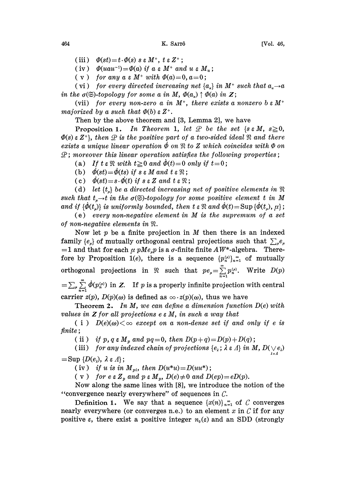(iii)  $\Phi(st) = t \cdot \Phi(s) \cdot s \cdot M^+$ ,  $t \in Z^+$ ;

(iv)  $\Phi(s\iota) = \iota \cdot \Psi(s)$  is  $\varepsilon M$ ,  $\iota \in \mathbb{Z}$ ,<br>
(iv)  $\Phi(uau^{-1}) = \Phi(a)$  if  $a \in M^+$  and  $u \in M_u$ 

 $(v)$  for any  $a \in M^+$  with  $\Phi(a)=0, a=0;$ 

(vi) for every directed increasing net  $\{a_{\alpha}\}\$ in M<sup>+</sup> such that in the  $\sigma(\mathfrak{S})$ -topology for some a in M,  $\Phi(a_{\sigma}) \uparrow \Phi(a)$  in Z;

(vii) for every non-zero a in  $M^+$ , there exists a nonzero b  $\epsilon M^+$ majorized by a such that  $\Phi(b) \in Z^+$ .

Then by the above theorem and  $[3, Lemma 2]$ , we have

**Proposition 1.** In Theorem 1, let  $\mathcal{P}$  be the set {s  $\in$  M,  $s\geq 0$ ,  $\Phi(s)$   $\in$  Z<sup>+</sup>}, then  $\mathcal Q$  is the positive part of a two-sided ideal  $\mathfrak R$  and there exists a unique linear operation  $\phi$  on  $\Re$  to Z which coincides with  $\Phi$  on  $\mathcal{L}$ ; moreover this linear operation satisfies the following properties;

(a) If  $t \in \mathbb{R}$  with  $t \geq 0$  and  $\dot{\phi}(t)=0$  only if  $t=0$ ;

(b)  $\dot{\phi}(st) = \dot{\phi}(ts)$  if  $s \in M$  and  $t \in \mathbb{R}$ ;

(c)  $\phi(st) = s \cdot \phi(t)$  if  $s \in Z$  and  $t \in \mathbb{R}$ ;

(d) let  $\{t_{\alpha}\}\$ be a directed increasing net of positive elements in  $\Re$ such that  $t_{\mu}\rightarrow t$  in the  $\sigma(\mathfrak{S})$ -topology for some positive element t in M and if  ${\lbrace \phi(t_\mu) \rbrace}$  is uniformly bounded, then  $t \in \mathbb{R}$  and  $\dot{\phi}(t)= \text{Sup} {\lbrace \phi(t_\mu),\mu \rbrace}$ ;

(e) every non-negative element in  $M$  is the supremum of a set of non-negative elements in  $\mathfrak{R}.$ 

Now let  $p$  be a finite projection in  $M$  then there is an indexed family  $\{e_{\mu}\}\$  of mutually orthogonal central projections such that  $\sum_{\mu}e_{\mu}$  $=1$  and that for each  $\mu$  pMe<sub>n</sub>p is a  $\sigma$ -finite finite AW<sup>\*</sup>-algebra. Therefore by Proposition 1(e), there is a sequence  $\{p_n^{(\mu)}\}_{n=1}^{\infty}$  of mutually orthogonal projections in  $\Re$  such that  $pe_{\mu}=\sum_{n=1}^{\infty}p_{n}^{(\mu)}$ . Write  $D(p)$  $=\sum_{\mu}\sum_{i=1}^{\infty}\dot{\phi}(p_n^{(\mu)})$  in Z. If p is a properly infinite projection with central carrier  $z(p)$ ,  $D(p)(\omega)$  is defined as  $\infty \cdot z(p)(\omega)$ , thus we have

**Theorem 2.** In M, we can define a dimension function  $D(e)$  with values in  $Z$  for all projections  $e \in M$ , in such a way that

( i )  $D(e)(\omega) < \infty$  except on a non-dense set if and only if e is finite;

(ii) if p, q  $\epsilon M_p$  and pq=0, then  $D(p+q)=D(p)+D(q)$ ;

(iii) for any indexed chain of projections  $\{e_{\lambda}\,;\,\lambda\in\varLambda\}$  in  $M,$   $D(\bigvee\limits_{\lambda\,\epsilon\,\varLambda}\!e_{\lambda})$  $=\text{Sup }{D(e_{\lambda}), \lambda \in \Lambda};$ 

(iv) if u is in  $M_{pi}$ , then  $D(u^*u) = D(uu^*)$ ;

( v) for  $e \in Z_p$  and  $p \in M_p$ ,  $D(e) \neq 0$  and  $D(ep)= eD(p)$ .

Now along the same lines with [8], we introduce the notion of the "convergence nearly everywhere" of sequences in  $\mathcal{C}$ .

Definition 1. We say that a sequence  $\{x(n)\}_{n=1}^{\infty}$  of C converges nearly everywhere (or converges n.e.) to an element x in  $\mathcal C$  if for any positive  $\varepsilon$ , there exist a positive integer  $n_0(\varepsilon)$  and an SDD (strongly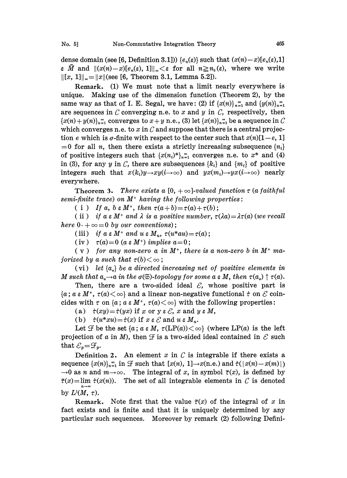dense domain (see [6, Definition 3.1]))  $\{e_n(\varepsilon)\}\$  such that  $(x(n)-x)[e_n(\varepsilon),1]$  $\epsilon \bar{M}$  and  $\|(x(n)-x)[e_n(\epsilon), 1]\|_{\infty} < \epsilon$  for all  $n \geq n_0(\epsilon)$ , where we write  $\|[x, 1]\|_{\infty} = \|x\|$ (see [6, Theorem 3.1, Lemma 5.2]).

Remark. (1) We must note that <sup>a</sup> limit nearly everywhere is unique. Making use of the dimension function (Theorem 2), by the same way as that of I. E. Segal, we have: (2) if  $\{x(n)\}_{n=1}^{\infty}$  and  $\{y(n)\}_{n=1}^{\infty}$ are sequences in  $\mathcal C$  converging n.e. to  $x$  and  $y$  in  $\mathcal C$ , respectively, then  ${x(n)+y(n)}_{n=1}^{\infty}$  converges to  $x+y$  n.e., (3) let  ${x(n)}_{n=1}^{\infty}$  be a sequence in C which converges n.e. to x in  $\mathcal C$  and suppose that there is a central projection e which is  $\sigma$ -finite with respect to the center such that  $x(n)[1-e, 1]$  $=0$  for all *n*, then there exists a strictly increasing subsequence  $\{n_i\}$ of positive integers such that  $\{x(n_i)^*\}_{n=1}^{\infty}$  converges n.e. to  $x^*$  and (4) in (3), for any y in C, there are subsequences  $\{k_i\}$  and  $\{m_i\}$  of positive integers such that  $x(k_i)y \rightarrow xy(i \rightarrow \infty)$  and  $yx(m_i) \rightarrow yx(i \rightarrow \infty)$  nearly everywhere.

Theorem 3. There exists a  $[0, +\infty]$ -valued function  $\tau$  (a faithful  $semi$ -finite trace) on  $M<sup>+</sup>$  having the following properties:

( i ) If a,  $b \in M^+$ , then  $\tau(a+b)=\tau(a)+\tau(b)$ ;

(ii) if  $a \in M^+$  and  $\lambda$  is a positive number,  $\tau(\lambda a) = \lambda \tau(a)$  (we recall here  $0. + \infty = 0$  by our conventions);

(iii) if  $a \in M^+$  and  $u \in M_u$ ,  $\tau(u^*au) = \tau(a)$ ;

(iv)  $\tau(a)=0$  (a  $\epsilon M^+$ ) implies  $a=0$ ;

 $(v)$  for any non-zero a in  $M^+$ , there is a non-zero b in  $M^+$  majorized by a such that  $\tau(b) < \infty$ ;

(vi) let  $\{a_{\alpha}\}\$ be a directed increasing net of positive elements in M such that  $a_a \rightarrow a$  in the  $\sigma(\mathfrak{S})$ -topology for some  $a \in M$ , then  $\tau(a_a) \uparrow \tau(a)$ .

Then, there are a two-sided ideal  $\mathcal{E}$ , whose positive part is  ${a : a \in M^+, \tau(a) < \infty}$  and a linear non-negative functional  $\dot{\tau}$  on  $\mathcal C$  coincides with  $\tau$  on  ${a : a \in M^+, \tau(a) < \infty}$  with the following properties: cides with  $\tau$  on {a; a  $\epsilon M^*$ ,  $\tau(a) < \infty$ } with the following properties:

(a)  $\dot{\tau}(xy) = \dot{\tau}(yx)$  if x or y  $\epsilon \mathcal{E}$ , x and  $y \in M$ ,

(b)  $\dot{\tau}(u^*xu) = \dot{\tau}(x)$  if  $x \in \mathcal{E}$  and  $u \in M_u$ .

Let  $\mathcal F$  be the set  $\{a : a \in M, \tau(\text{LP}(a)) < \infty\}$  (where  $\text{LP}(a)$  is the left projection of a in M), then  $\mathcal F$  is a two-sided ideal contained in  $\mathcal E$  such projection of<br>that  $\mathcal{E}_p = \mathcal{F}_p$ .

Definition 2. An element x in  $C$  is integrable if there exists a sequence  $\{x(n)\}_{n=1}^{\infty}$  in  $\mathcal F$  such that  $[x(n), 1] \rightarrow x(n, e)$  and  $\dot \tau(|x(n)-x(m)|)$  $\rightarrow 0$  as n and  $m \rightarrow \infty$ . The integral of x, in symbol  $\tilde{\tau}(x)$ , is defined by  $\tilde{\tau}(x)=\lim_{n\to\infty}\tilde{\tau}(x(n))$ . The set of all integrable elements in C is denoted by  $L^1(M, \tau)$ .

Remark. Note first that the value  $\tilde{\tau}(x)$  of the integral of x in fact exists and is finite and that it is uniquely determined by any particular such sequences. Moreover by remark (2) following Defini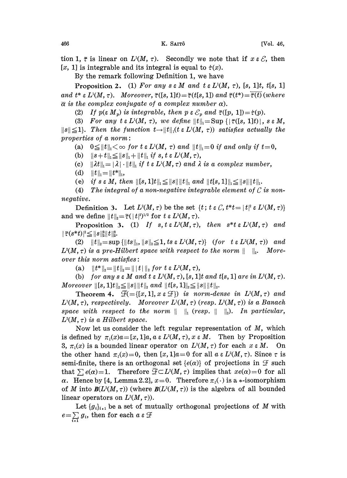tion 1,  $\tilde{\tau}$  is linear on  $L^1(M, \tau)$ . Secondly we note that if  $x \in \mathcal{E}$ , then [x, 1] is integrable and its integral is equal to  $\dot{\tau}(x)$ .

By the remark following Definition 1, we have

**Proposition 2.** (1) For any  $s \in M$  and  $t \in L^1(M, \tau)$ , [s, 1]t, t[s, 1] and  $t^* \varepsilon L^1(M, \tau)$ . Moreover,  $\tilde{\tau}([s, 1]t) = \tilde{\tau}(t[s, 1])$  and  $\tilde{\tau}(t^*) = \overline{\tilde{\tau}(t)}$  (where

(2) If  $p(\varepsilon M_p)$  is integrable, then  $p \varepsilon \mathcal{E}_p$  and  $\tilde{\tau}([p, 1]) = \dot{\tau}(p)$ .

 $\overline{\alpha}$  is the complex conjugate of a complex number  $\alpha$ ).<br>
(2) If  $p(\varepsilon M_p)$  is integrable, then  $p \varepsilon \mathcal{E}_p$  and  $\tilde{\tau}([p, 1]) = \dot{\tau}(p)$ .<br>
(3) For any  $t \varepsilon L^1(M, \tau)$ , we define  $||t||_1 = \text{Sup } \{|\tilde{\tau}([s, 1]t)|, s \varepsilon M\}$  $||s|| \leq 1$ . Then the function  $t \rightarrow ||t||_1(t \in L^1(M, \tau))$  satisfies actually the properties of  $a$  norm:

(a)  $0 \leq ||t||_1 < \infty$  for  $t \in L^1(M, \tau)$  and  $||t||_1 = 0$  if and only if  $t = 0$ ,

(b)  $||s+t||_1 \leq ||s||_1 + ||t||_1$  if s, t  $\varepsilon L^1(M, \tau)$ ,

(c)  $\|\lambda t\|_1 = |\lambda| \cdot \|t\|_1$  if  $t \in L^1(M, \tau)$  and  $\lambda$  is a complex number,

(d)  $||t||_1 = ||t^*||_1$ ,

(e) if  $s \in M$ , then  $\|[s, 1]t\|_1 \leq ||s|| ||t||_1$  and  $||t[s, 1]||_1 \leq ||s|| ||t||_1$ .

(4) The integral of a non-negative integrable element of  ${\cal C}$  is nonnegative.

Definition 3. Let  $L^2(M, \tau)$  be the set  $\{t : t \in \mathcal{C}, t^*t = |t|^2 \in L^1(M, \tau)\}\$ and we define  $||t||_2 = \tilde{\tau}(||t|^2)^{1/2}$  for  $t \in L^2(M, \tau)$ .

Proposition 3. (1) If  $s, t \in L^2(M, \tau)$ , then  $s^*t \in L^1(M, \tau)$  and  $||\tilde{\tau}(s*t)|^2 \leq ||s||_2^2 ||t||_2^2.$ 

(2)  $||t||_2 = \sup {||ts||_1, ||s||_2 \le 1, ts \in L^1(M, \tau)}$  (for  $t \in L^2(M, \tau)$ ) and  $L^{2}(M, \tau)$  is a pre-Hilbert space with respect to the norm  $|| \cdot ||_2$ . More $over this norm satisfies:$ 

(a)  $||t^*||_2=||t||_2=||t||_2$  for  $t \in L^2(M, \tau)$ ,

(b) for any  $s \in M$  and  $t \in L^2(M, \tau)$ ,  $[s, 1]t$  and  $t[s, 1]$  are in  $L^2(M, \tau)$ . Moreover  $||[s, 1]t||_2 \leq ||s|| ||t||_2$  and  $||t[s, 1]||_2 \leq ||s|| ||t||_2$ .

Theorem 4.  $\mathcal{F}(\equiv \{(x, 1], x \in \mathcal{F}\})$  is norm-dense in  $L^2(M, \tau)$  and  $L^{1}(M, \tau)$ , respectively. Moreover  $L^{1}(M, \tau)$  (resp.  $L^{2}(M, \tau)$ ) is a Banach space with respect to the norm  $|| \cdot ||_1$  (resp.  $|| \cdot ||_2$ ). In particular,  $L^{2}(M, \tau)$  is a Hilbert space.

Now let us consider the left regular representation of M, which is defined by  $\pi_i(x)a = [x, 1]a$ ,  $a \in L^2(M, \tau)$ ,  $x \in M$ . Then by Proposition 3,  $\pi_1(x)$  is a bounded linear operator on  $L^2(M, \tau)$  for each  $x \in M$ . On the other hand  $\pi_1(x)=0$ , then  $[x, 1]a=0$  for all  $a \in L^2(M, \tau)$ . Since  $\tau$  is semi-finite, there is an orthogonal set  $\{e(\alpha)\}\$  of projections in  $\mathcal F$  such that  $\sum e(\alpha) = 1$ . Therefore  $\overline{F} \subset L^{2}(M, \tau)$  implies that  $xe(\alpha) = 0$  for all  $\alpha$ . Hence by [4, Lemma 2.2],  $x=0$ . Therefore  $\pi_i(\cdot)$  is a  $\ast$ -isomorphism of M into  $B(L^2(M, \tau))$  (where  $B(L^2(M, \tau))$  is the algebra of all bounded linear operators on  $L^2(M, \tau)$ ).

Let  ${g_i}_{i_1}$  be a set of mutually orthogonal projections of M with  $e = \sum_{i=1}^{\infty} g_i$ , then for each a